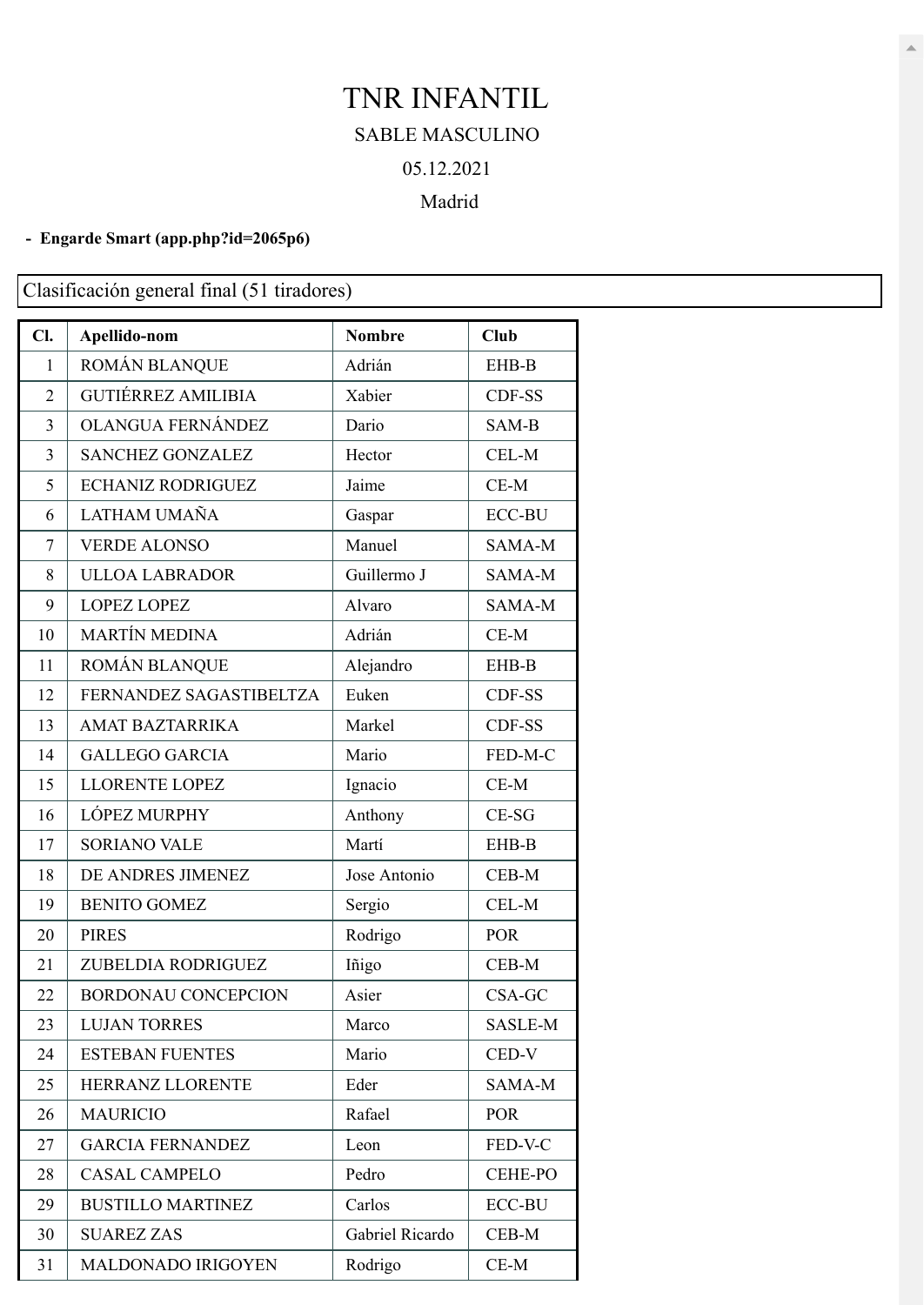## TNR INFANTIL SABLE MASCULINO 05.12.2021

## Madrid

## **- Engarde Smart [\(app.php?id=2065p6\)](https://engarde-service.com/app.php?id=2065p6)**

Clasificación general final (51 tiradores)

| Cl.            | Apellido-nom               | <b>Nombre</b>   | <b>Club</b>    |
|----------------|----------------------------|-----------------|----------------|
| 1              | ROMÁN BLANQUE              | Adrián          | EHB-B          |
| $\overline{2}$ | <b>GUTIÉRREZ AMILIBIA</b>  | Xabier          | CDF-SS         |
| 3              | OLANGUA FERNÁNDEZ          | Dario           | SAM-B          |
| 3              | <b>SANCHEZ GONZALEZ</b>    | Hector          | CEL-M          |
| 5              | <b>ECHANIZ RODRIGUEZ</b>   | Jaime           | $CE-M$         |
| 6              | LATHAM UMAÑA               | Gaspar          | <b>ECC-BU</b>  |
| $\tau$         | <b>VERDE ALONSO</b>        | Manuel          | SAMA-M         |
| 8              | <b>ULLOA LABRADOR</b>      | Guillermo J     | SAMA-M         |
| 9              | <b>LOPEZ LOPEZ</b>         | Alvaro          | SAMA-M         |
| 10             | <b>MARTÍN MEDINA</b>       | Adrián          | $CE-M$         |
| 11             | ROMÁN BLANQUE              | Alejandro       | EHB-B          |
| 12             | FERNANDEZ SAGASTIBELTZA    | Euken           | CDF-SS         |
| 13             | AMAT BAZTARRIKA            | Markel          | CDF-SS         |
| 14             | <b>GALLEGO GARCIA</b>      | Mario           | FED-M-C        |
| 15             | LLORENTE LOPEZ             | Ignacio         | $CE-M$         |
| 16             | <b>LÓPEZ MURPHY</b>        | Anthony         | $CE-SG$        |
| 17             | <b>SORIANO VALE</b>        | Martí           | EHB-B          |
| 18             | DE ANDRES JIMENEZ          | Jose Antonio    | CEB-M          |
| 19             | <b>BENITO GOMEZ</b>        | Sergio          | CEL-M          |
| 20             | <b>PIRES</b>               | Rodrigo         | <b>POR</b>     |
| 21             | ZUBELDIA RODRIGUEZ         | Iñigo           | CEB-M          |
| 22             | <b>BORDONAU CONCEPCION</b> | Asier           | CSA-GC         |
| 23             | <b>LUJAN TORRES</b>        | Marco           | SASLE-M        |
| 24             | <b>ESTEBAN FUENTES</b>     | Mario           | CED-V          |
| 25             | HERRANZ LLORENTE           | Eder            | SAMA-M         |
| 26             | <b>MAURICIO</b>            | Rafael          | <b>POR</b>     |
| 27             | <b>GARCIA FERNANDEZ</b>    | Leon            | FED-V-C        |
| 28             | <b>CASAL CAMPELO</b>       | Pedro           | <b>CEHE-PO</b> |
| 29             | <b>BUSTILLO MARTINEZ</b>   | Carlos          | <b>ECC-BU</b>  |
| 30             | <b>SUAREZ ZAS</b>          | Gabriel Ricardo | $CEB-M$        |
| 31             | MALDONADO IRIGOYEN         | Rodrigo         | $CE-M$         |